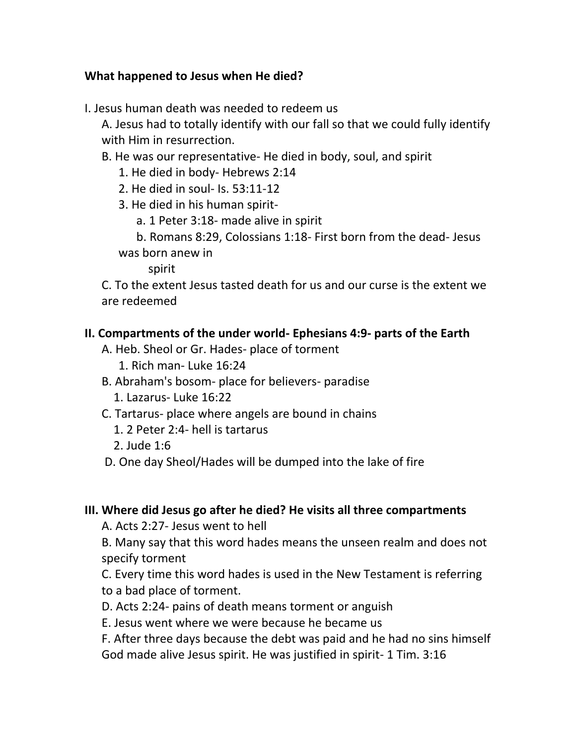## **What happened to Jesus when He died?**

I. Jesus human death was needed to redeem us

A. Jesus had to totally identify with our fall so that we could fully identify with Him in resurrection.

- B. He was our representative- He died in body, soul, and spirit
	- 1. He died in body- Hebrews 2:14
	- 2. He died in soul- Is. 53:11-12
	- 3. He died in his human spirit
		- a. 1 Peter 3:18- made alive in spirit

 b. Romans 8:29, Colossians 1:18- First born from the dead- Jesus was born anew in

spirit

C. To the extent Jesus tasted death for us and our curse is the extent we are redeemed

## **II. Compartments of the under world- Ephesians 4:9- parts of the Earth**

- A. Heb. Sheol or Gr. Hades- place of torment
	- 1. Rich man- Luke 16:24
- B. Abraham's bosom- place for believers- paradise
	- 1. Lazarus- Luke 16:22
- C. Tartarus- place where angels are bound in chains
	- 1. 2 Peter 2:4- hell is tartarus
	- 2. Jude 1:6
- D. One day Sheol/Hades will be dumped into the lake of fire

## **III. Where did Jesus go after he died? He visits all three compartments**

A. Acts 2:27- Jesus went to hell

B. Many say that this word hades means the unseen realm and does not specify torment

C. Every time this word hades is used in the New Testament is referring to a bad place of torment.

- D. Acts 2:24- pains of death means torment or anguish
- E. Jesus went where we were because he became us

F. After three days because the debt was paid and he had no sins himself God made alive Jesus spirit. He was justified in spirit- 1 Tim. 3:16